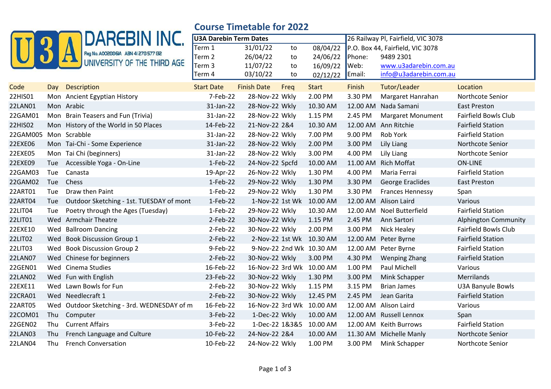|                |     | <b>DAREBIN INC.</b>                         | <b>Course Timetable for 2022</b> |                           |      |                          |                                    |                                  |                             |
|----------------|-----|---------------------------------------------|----------------------------------|---------------------------|------|--------------------------|------------------------------------|----------------------------------|-----------------------------|
|                |     |                                             | <b>U3A Darebin Term Dates</b>    |                           |      |                          | 26 Railway Pl, Fairfield, VIC 3078 |                                  |                             |
|                |     |                                             | Term 1                           | 31/01/22                  | to   | 08/04/22                 |                                    | P.O. Box 44, Fairfield, VIC 3078 |                             |
|                |     | Reg No. A002886IA ABN 41 278 577 132        | Term 2                           | 26/04/22                  | to   | 24/06/22                 | Phone:                             | 9489 2301                        |                             |
|                |     | UNIVERSITY OF THE THIRD AGE                 | Term <sub>3</sub>                | 11/07/22                  | to   | 16/09/22                 | $\mathsf{I}$ Web:                  | www.u3adarebin.com.au            |                             |
|                |     |                                             | Term 4                           | 03/10/22                  | to   | 02/12/22                 | Email:                             | info@u3adarebin.com.au           |                             |
| Code           | Day | Description                                 | <b>Start Date</b>                | <b>Finish Date</b>        | Freq | <b>Start</b>             | Finish                             | Tutor/Leader                     | Location                    |
| 22HIS01        |     | Mon Ancient Egyptian History                | 7-Feb-22                         | 28-Nov-22 Wkly            |      | 2.00 PM                  | 3.30 PM                            | Margaret Hanrahan                | Northcote Senior            |
| 22LAN01        |     | Mon Arabic                                  | 31-Jan-22                        | 28-Nov-22 Wkly            |      | 10.30 AM                 | 12.00 AM                           | Nada Samani                      | <b>East Preston</b>         |
| 22GAM01        |     | Mon Brain Teasers and Fun (Trivia)          | 31-Jan-22                        | 28-Nov-22 Wkly            |      | 1.15 PM                  | 2.45 PM                            | <b>Margaret Monument</b>         | <b>Fairfield Bowls Club</b> |
| 22HIS02        |     | Mon History of the World in 50 Places       | 14-Feb-22                        | 21-Nov-22 2&4             |      | 10.30 AM                 |                                    | 12.00 AM Ann Ritchie             | <b>Fairfield Station</b>    |
| 22GAM005       |     | Mon Scrabble                                | 31-Jan-22                        | 28-Nov-22 Wkly            |      | 7.00 PM                  | 9.00 PM                            | Rob York                         | <b>Fairfield Station</b>    |
| 22EXE06        |     | Mon Tai-Chi - Some Experience               | 31-Jan-22                        | 28-Nov-22 Wkly            |      | 2.00 PM                  | 3.00 PM                            | <b>Lily Liang</b>                | Northcote Senior            |
| 22EXE05        |     | Mon Tai Chi (beginners)                     | 31-Jan-22                        | 28-Nov-22 Wkly            |      | 3.00 PM                  | 4.00 PM                            | Lily Liang                       | Northcote Senior            |
| 22EXE09        | Tue | Accessible Yoga - On-Line                   | 1-Feb-22                         | 24-Nov-22 Spcfd           |      | 10.00 AM                 | 11.00 AM                           | <b>Rich Moffat</b>               | <b>ON-LINE</b>              |
| 22GAM03        | Tue | Canasta                                     | 19-Apr-22                        | 26-Nov-22 Wkly            |      | 1.30 PM                  | 4.00 PM                            | Maria Ferrai                     | <b>Fairfield Station</b>    |
| 22GAM02        | Tue | Chess                                       | 1-Feb-22                         | 29-Nov-22 Wkly            |      | 1.30 PM                  | 3.30 PM                            | <b>George Eraclides</b>          | <b>East Preston</b>         |
| 22ART01        | Tue | Draw then Paint                             | $1-Feb-22$                       | 29-Nov-22 Wkly            |      | 1.30 PM                  | 3.30 PM                            | <b>Frances Hennessy</b>          | Span                        |
| 22ART04        | Tue | Outdoor Sketching - 1st. TUESDAY of mont    | $1-Feb-22$                       |                           |      | 1-Nov-22 1st Wk 10.00 AM |                                    | 12.00 AM Alison Laird            | Various                     |
| 22LIT04        | Tue | Poetry through the Ages (Tuesday)           | $1-Feb-22$                       | 29-Nov-22 Wkly            |      | 10.30 AM                 |                                    | 12.00 AM Noel Butterfield        | <b>Fairfield Station</b>    |
| 22LIT01        |     | Wed Armchair Theatre                        | 2-Feb-22                         | 30-Nov-22 Wkly            |      | 1.15 PM                  | 2.45 PM                            | Ann Sartori                      | <b>Alphington Community</b> |
| 22EXE10        | Wed | <b>Ballroom Dancing</b>                     | $2-Feb-22$                       | 30-Nov-22 Wkly            |      | 2.00 PM                  | 3.00 PM                            | <b>Nick Healey</b>               | <b>Fairfield Bowls Club</b> |
| 22LIT02        |     | Wed Book Discussion Group 1                 | $2-Feb-22$                       |                           |      | 2-Nov-22 1st Wk 10.30 AM | 12.00 AM                           | Peter Byrne                      | <b>Fairfield Station</b>    |
| 22LIT03        | Wed | <b>Book Discussion Group 2</b>              | 9-Feb-22                         |                           |      | 9-Nov-22 2nd Wk 10.30 AM |                                    | 12.00 AM Peter Byrne             | <b>Fairfield Station</b>    |
| 22LAN07        |     | Wed Chinese for beginners                   | 2-Feb-22                         | 30-Nov-22 Wkly            |      | 3.00 PM                  | 4.30 PM                            | <b>Wenping Zhang</b>             | <b>Fairfield Station</b>    |
| 22GEN01        |     | Wed Cinema Studies                          | 16-Feb-22                        | 16-Nov-22 3rd Wk 10.00 AM |      |                          | 1.00 PM                            | Paul Michell                     | Various                     |
| 22LAN02        |     | Wed Fun with English                        | 23-Feb-22                        | 30-Nov-22 Wkly            |      | 1.30 PM                  | 3.00 PM                            | Mink Schapper                    | Merrilands                  |
| 22EXE11        | Wed | Lawn Bowls for Fun                          | $2-Feb-22$                       | 30-Nov-22 Wkly            |      | 1.15 PM                  | 3.15 PM                            | <b>Brian James</b>               | <b>U3A Banyule Bowls</b>    |
| 22CRA01        |     | Wed Needlecraft 1                           | $2-Feb-22$                       | 30-Nov-22 Wkly            |      | 12.45 PM                 | 2.45 PM                            | Jean Garita                      | <b>Fairfield Station</b>    |
| 22ART05        |     | Wed Outdoor Sketching - 3rd. WEDNESDAY of m | 16-Feb-22                        | 16-Nov-22 3rd Wk 10.00 AM |      |                          |                                    | 12.00 AM Alison Laird            | Various                     |
| 22COM01        | Thu | Computer                                    | 3-Feb-22                         | 1-Dec-22 Wkly             |      | 10.00 AM                 |                                    | 12.00 AM Russell Lennox          | Span                        |
| 22GEN02        | Thu | <b>Current Affairs</b>                      | 3-Feb-22                         | 1-Dec-22 1&3&5            |      | 10.00 AM                 |                                    | 12.00 AM Keith Burrows           | <b>Fairfield Station</b>    |
| <b>22LAN03</b> | Thu | French Language and Culture                 | 10-Feb-22                        | 24-Nov-22 2&4             |      | 10.00 AM                 |                                    | 11.30 AM Michelle Manly          | Northcote Senior            |
| 22LAN04        | Thu | <b>French Conversation</b>                  | 10-Feb-22                        | 24-Nov-22 Wkly            |      | 1.00 PM                  | 3.00 PM                            | Mink Schapper                    | Northcote Senior            |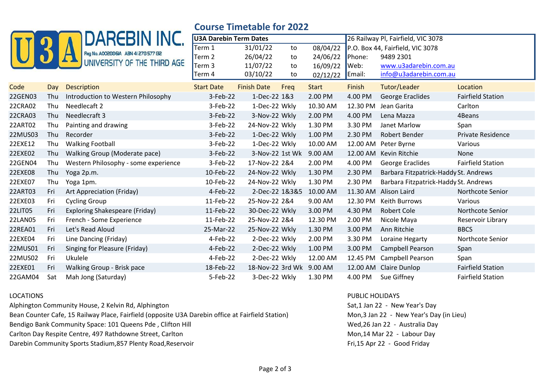|                |     | <b>DAREBIN INC.</b>                   | COUISE TIMELANIE IUI ZUZZ     |                    |      |                                    |          |                                       |                          |
|----------------|-----|---------------------------------------|-------------------------------|--------------------|------|------------------------------------|----------|---------------------------------------|--------------------------|
|                |     |                                       | <b>U3A Darebin Term Dates</b> |                    |      | 26 Railway Pl, Fairfield, VIC 3078 |          |                                       |                          |
|                |     | Reg No. A002886IA ABN 41 278 577 132  | Term 1                        | 31/01/22           | to   | 08/04/22                           |          | P.O. Box 44, Fairfield, VIC 3078      |                          |
|                |     |                                       | Term 2                        | 26/04/22           | to   | 24/06/22                           | Phone:   | 9489 2301                             |                          |
|                |     | UNIVERSITY OF THE THIRD AGE           | Term 3                        | 11/07/22           | to   | 16/09/22                           | Web:     | www.u3adarebin.com.au                 |                          |
|                |     |                                       | Term 4                        | 03/10/22           | to   | 02/12/22                           | Email:   | info@u3adarebin.com.au                |                          |
| Code           | Day | <b>Description</b>                    | <b>Start Date</b>             | <b>Finish Date</b> | Freq | <b>Start</b>                       | Finish   | Tutor/Leader                          | Location                 |
| 22GEN03        | Thu | Introduction to Western Philosophy    | 3-Feb-22                      | 1-Dec-22 1&3       |      | 2.00 PM                            | 4.00 PM  | George Eraclides                      | <b>Fairfield Station</b> |
| 22CRA02        | Thu | Needlecaft 2                          | 3-Feb-22                      | 1-Dec-22 Wkly      |      | 10.30 AM                           | 12.30 PM | Jean Garita                           | Carlton                  |
| 22CRA03        | Thu | Needlecraft 3                         | 3-Feb-22                      | 3-Nov-22 Wkly      |      | 2.00 PM                            | 4.00 PM  | Lena Mazza                            | 4Beans                   |
| 22ART02        | Thu | Painting and drawing                  | 3-Feb-22                      | 24-Nov-22 Wkly     |      | 1.30 PM                            | 3.30 PM  | Janet Marlow                          | Span                     |
| 22MUS03        | Thu | Recorder                              | 3-Feb-22                      | 1-Dec-22 Wkly      |      | 1.00 PM                            | 2.30 PM  | Robert Bender                         | Private Residence        |
| 22EXE12        | Thu | <b>Walking Football</b>               | 3-Feb-22                      | 1-Dec-22 Wkly      |      | 10.00 AM                           | 12.00 AM | Peter Byrne                           | Various                  |
| 22EXE02        | Thu | Walking Group (Moderate pace)         | 3-Feb-22                      | 3-Nov-22 1st Wk    |      | 9.00 AM                            | 12.00 AM | Kevin Ritchie                         | None                     |
| 22GEN04        | Thu | Western Philosophy - some experience  | 3-Feb-22                      | 17-Nov-22 2&4      |      | 2.00 PM                            | 4.00 PM  | George Eraclides                      | <b>Fairfield Station</b> |
| 22EXE08        | Thu | Yoga 2p.m.                            | 10-Feb-22                     | 24-Nov-22 Wkly     |      | 1.30 PM                            | 2.30 PM  | Barbara Fitzpatrick-Haddy St. Andrews |                          |
| 22EXE07        | Thu | Yoga 1pm.                             | 10-Feb-22                     | 24-Nov-22 Wkly     |      | 1.30 PM                            | 2.30 PM  | Barbara Fitzpatrick-Haddy St. Andrews |                          |
| 22ART03        | Fri | Art Appreciation (Friday)             | 4-Feb-22                      | 2-Dec-22 1&3&5     |      | 10.00 AM                           | 11.30 AM | Alison Laird                          | Northcote Senior         |
| 22EXE03        | Fri | <b>Cycling Group</b>                  | 11-Feb-22                     | 25-Nov-22 2&4      |      | 9.00 AM                            | 12.30 PM | Keith Burrows                         | Various                  |
| 22LIT05        | Fri | <b>Exploring Shakespeare (Friday)</b> | 11-Feb-22                     | 30-Dec-22 Wkly     |      | 3.00 PM                            | 4.30 PM  | <b>Robert Cole</b>                    | Northcote Senior         |
| <b>22LAN05</b> | Fri | French - Some Experience              | 11-Feb-22                     | 25-Nov-22 2&4      |      | 12.30 PM                           | 2.00 PM  | Nicole Maya                           | Reservoir Library        |
| 22REA01        | Fri | Let's Read Aloud                      | 25-Mar-22                     | 25-Nov-22 Wkly     |      | 1.30 PM                            | 3.00 PM  | Ann Ritchie                           | <b>BBCS</b>              |
| 22EXE04        | Fri | Line Dancing (Friday)                 | 4-Feb-22                      | 2-Dec-22 Wkly      |      | 2.00 PM                            | 3.30 PM  | Loraine Hegarty                       | Northcote Senior         |
| 22MUS01        | Fri | Singing for Pleasure (Friday)         | 4-Feb-22                      | 2-Dec-22 Wkly      |      | 1.00 PM                            | 3.00 PM  | Campbell Pearson                      | Span                     |
| 22MUS02        | Fri | <b>Ukulele</b>                        | 4-Feb-22                      | 2-Dec-22 Wkly      |      | 12.00 AM                           | 12.45 PM | <b>Campbell Pearson</b>               | Span                     |
| 22EXE01        | Fri | Walking Group - Brisk pace            | 18-Feb-22                     | 18-Nov-22 3rd Wk   |      | 9.00 AM                            | 12.00 AM | Claire Dunlop                         | <b>Fairfield Station</b> |
| 22GAM04        | Sat | Mah Jong (Saturday)                   | 5-Feb-22                      | 3-Dec-22 Wkly      |      | 1.30 PM                            | 4.00 PM  | Sue Giffney                           | <b>Fairfield Station</b> |

## **Course Timetable for 2022**

Alphington Community House, 2 Kelvin Rd, Alphington Sat,1 Jan 22 - New Year's Day Bean Counter Cafe, 15 Railway Place, Fairfield (opposite U3A Darebin office at Fairfield Station) Mon,3 Jan 22 - New Year's Day (in Lieu) Bendigo Bank Community Space: 101 Queens Pde, Clifton Hill Wed,26 Jan 22 - Australia Day Carlton Day Respite Centre, 497 Rathdowne Street, Carlton Mon, 20 and Street, Carlton Mon, 14 Mar 22 - Labour Day

Darebin Community Sports Stadium, 857 Plenty Road, Reservoir Fri, 15 Apr 22 - Good Friday

## LOCATIONS PUBLIC HOLIDAYS